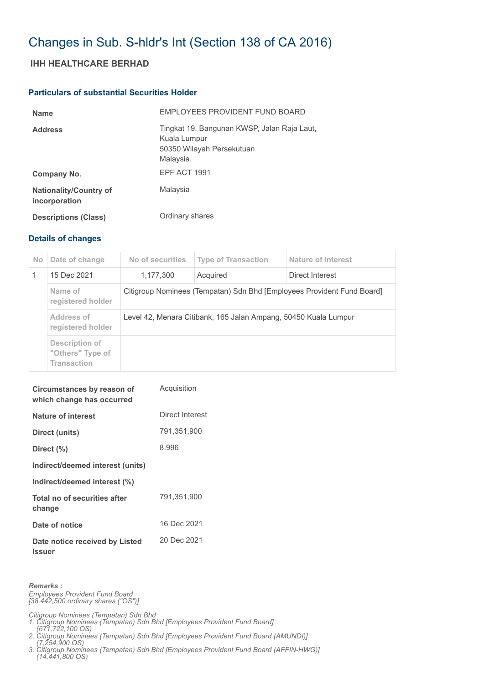# Changes in Sub. S-hldr's Int (Section 138 of CA 2016)

## **IHH HEALTHCARE BERHAD**

### **Particulars of substantial Securities Holder**

| <b>Name</b>                                    | EMPLOYEES PROVIDENT FUND BOARD                                                                        |
|------------------------------------------------|-------------------------------------------------------------------------------------------------------|
| <b>Address</b>                                 | Tingkat 19, Bangunan KWSP, Jalan Raja Laut,<br>Kuala Lumpur<br>50350 Wilayah Persekutuan<br>Malaysia. |
| Company No.                                    | EPF ACT 1991                                                                                          |
| <b>Nationality/Country of</b><br>incorporation | Malaysia                                                                                              |
| <b>Descriptions (Class)</b>                    | Ordinary shares                                                                                       |

#### **Details of changes**

| No. | Date of change                                           | No of securities                                                       | <b>Type of Transaction</b> | Nature of Interest |  |
|-----|----------------------------------------------------------|------------------------------------------------------------------------|----------------------------|--------------------|--|
|     | 15 Dec 2021                                              | 1,177,300                                                              | Acquired                   | Direct Interest    |  |
|     | Name of<br>registered holder                             | Citigroup Nominees (Tempatan) Sdn Bhd [Employees Provident Fund Board] |                            |                    |  |
|     | Address of<br>registered holder                          | Level 42, Menara Citibank, 165 Jalan Ampang, 50450 Kuala Lumpur        |                            |                    |  |
|     | Description of<br>"Others" Type of<br><b>Transaction</b> |                                                                        |                            |                    |  |

| Circumstances by reason of<br>which change has occurred | Acquisition     |
|---------------------------------------------------------|-----------------|
| <b>Nature of interest</b>                               | Direct Interest |
| Direct (units)                                          | 791,351,900     |
| Direct $(\% )$                                          | 8.996           |
| Indirect/deemed interest (units)                        |                 |
| Indirect/deemed interest (%)                            |                 |
| Total no of securities after<br>change                  | 791,351,900     |
| Date of notice                                          | 16 Dec 2021     |
| Date notice received by Listed<br><b>Issuer</b>         | 20 Dec 2021     |

*Remarks :*

*Employees Provident Fund Board [38,442,500 ordinary shares ("OS")]*

*Citigroup Nominees (Tempatan) Sdn Bhd 1. Citigroup Nominees (Tempatan) Sdn Bhd [Employees Provident Fund Board]* 

 *(671,722,100 OS) 2. Citigroup Nominees (Tempatan) Sdn Bhd [Employees Provident Fund Board (AMUNDI)]* 

 *(7,254,900 OS) 3. Citigroup Nominees (Tempatan) Sdn Bhd [Employees Provident Fund Board (AFFIN-HWG)] (14,441,800 OS)*